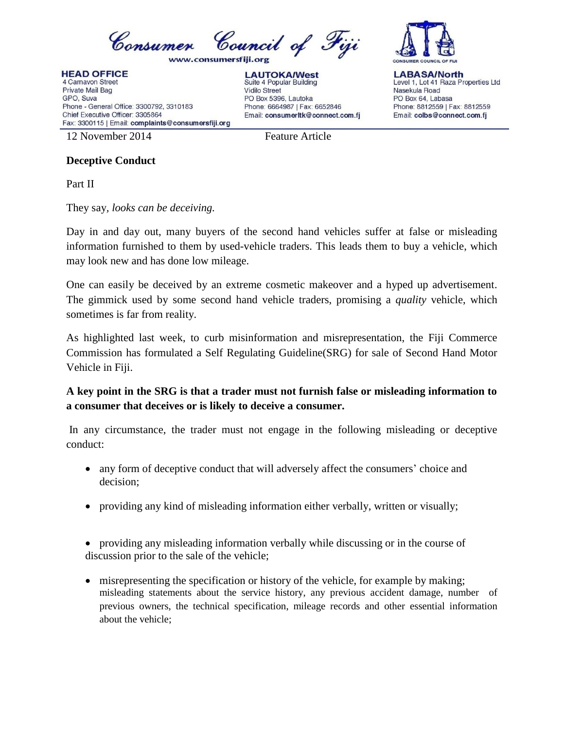

**HEAD OFFICE** 4 Carnavon Street Private Mail Bag GPO, Suva Phone - General Office: 3300792, 3310183 Chief Executive Officer: 3305864 Fax: 3300115 | Email: complaints@consumersfiji.org

**LAUTOKA/West** Suite 4 Popular Building **Vidilo Street** PO Box 5396, Lautoka Phone: 6664987 | Fax: 6652846 Email: consumerItk@connect.com.fi



**LABASA/North** Level 1, Lot 41 Raza Properties Ltd Nasekula Road PO Box 64, Labasa Phone: 8812559 | Fax: 8812559 Email: colbs@connect.com.fj

12 November 2014 Feature Article

## **Deceptive Conduct**

Part II

They say*, looks can be deceiving.* 

Day in and day out, many buyers of the second hand vehicles suffer at false or misleading information furnished to them by used-vehicle traders. This leads them to buy a vehicle, which may look new and has done low mileage.

One can easily be deceived by an extreme cosmetic makeover and a hyped up advertisement. The gimmick used by some second hand vehicle traders, promising a *quality* vehicle, which sometimes is far from reality.

As highlighted last week, to curb misinformation and misrepresentation, the Fiji Commerce Commission has formulated a Self Regulating Guideline(SRG) for sale of Second Hand Motor Vehicle in Fiji.

**A key point in the SRG is that a trader must not furnish false or misleading information to a consumer that deceives or is likely to deceive a consumer.**

In any circumstance, the trader must not engage in the following misleading or deceptive conduct:

- any form of deceptive conduct that will adversely affect the consumers' choice and decision;
- providing any kind of misleading information either verbally, written or visually;

 providing any misleading information verbally while discussing or in the course of discussion prior to the sale of the vehicle;

 misrepresenting the specification or history of the vehicle, for example by making; misleading statements about the service history, any previous accident damage, number of previous owners, the technical specification, mileage records and other essential information about the vehicle;